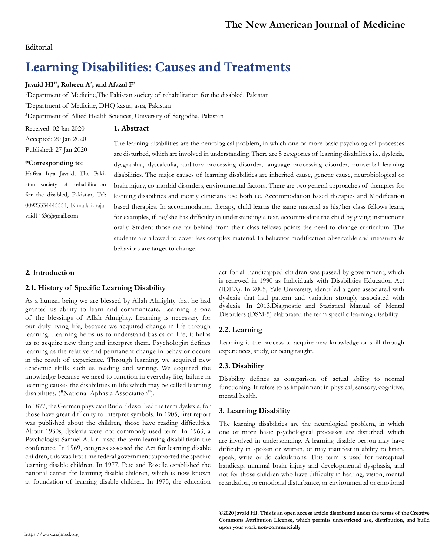# Editorial

# **Learning Disabilities: Causes and Treatments**

## Javaid HI<sup>1</sup>\*, Roheen A<sup>2</sup>, and Afazal F<sup>3</sup>

<sup>1</sup>Department of Medicine, The Pakistan society of rehabilitation for the disabled, Pakistan 2 Department of Medicine, DHQ kasur, asra, Pakistan 3 Department of Allied Health Sciences, University of Sargodha, Pakistan

Received: 02 Jan 2020 **1. Abstract**

Accepted: 20 Jan 2020 Published: 27 Jan 2020

### **\*Corresponding to:**

Hafiza Iqra Javaid, The Pakistan society of rehabilitation for the disabled, Pakistan, Tel: 00923334445554, E-mail: iqrajavaid1463@gmail.com

The learning disabilities are the neurological problem, in which one or more basic psychological processes are disturbed, which are involved in understanding. There are 5 categories of learning disabilities i.e. dyslexia, dysgraphia, dyscalculia, auditory processing disorder, language processing disorder, nonverbal learning disabilities. The major causes of learning disabilities are inherited cause, genetic cause, neurobiological or brain injury, co-morbid disorders, environmental factors. There are two general approaches of therapies for learning disabilities and mostly clinicians use both i.e. Accommodation based therapies and Modification based therapies. In accommodation therapy, child learns the same material as his/her class fellows learn, for examples, if he/she has difficulty in understanding a text, accommodate the child by giving instructions orally. Student those are far behind from their class fellows points the need to change curriculum. The students are allowed to cover less complex material. In behavior modification observable and measureable behaviors are target to change.

## **2. Introduction**

# **2.1. History of Specific Learning Disability**

As a human being we are blessed by Allah Almighty that he had granted us ability to learn and communicate. Learning is one of the blessings of Allah Almighty. Learning is necessary for our daily living life, because we acquired change in life through learning. Learning helps us to understand basics of life; it helps us to acquire new thing and interpret them. Psychologist defines learning as the relative and permanent change in behavior occurs in the result of experience. Through learning, we acquired new academic skills such as reading and writing. We acquired the knowledge because we need to function in everyday life; failure in learning causes the disabilities in life which may be called learning disabilities. ("National Aphasia Association").

In 1877, the German physician Rudolf described the term dyslexia, for those have great difficulty to interpret symbols. In 1905, first report was published about the children, those have reading difficulties. About 1930s, dyslexia were not commonly used term. In 1963, a Psychologist Samuel A. kirk used the term learning disabilitiesin the conference. In 1969, congress assessed the Act for learning disable children, this was first time federal government supported the specific learning disable children. In 1977, Pete and Roselle established the national center for learning disable children, which is now known as foundation of learning disable children. In 1975, the education

act for all handicapped children was passed by government, which is renewed in 1990 as Individuals with Disabilities Education Act (IDEA). In 2005, Yale University, identified a gene associated with dyslexia that had pattern and variation strongly associated with dyslexia. In 2013,Diagnostic and Statistical Manual of Mental Disorders (DSM-5) elaborated the term specific learning disability.

# **2.2. Learning**

Learning is the process to acquire new knowledge or skill through experiences, study, or being taught.

# **2.3. Disability**

Disability defines as comparison of actual ability to normal functioning. It refers to as impairment in physical, sensory, cognitive, mental health.

# **3. Learning Disability**

The learning disabilities are the neurological problem, in which one or more basic psychological processes are disturbed, which are involved in understanding. A learning disable person may have difficulty in spoken or written, or may manifest in ability to listen, speak, write or do calculations. This term is used for perceptual handicap, minimal brain injury and developmental dysphasia, and not for those children who have difficulty in hearing, vision, mental retardation, or emotional disturbance, or environmental or emotional

**©2020 Javaid HI. This is an open access article distributed under the terms of the Creative Commons Attribution License, which permits unrestricted use, distribution, and build upon your work non-commercially**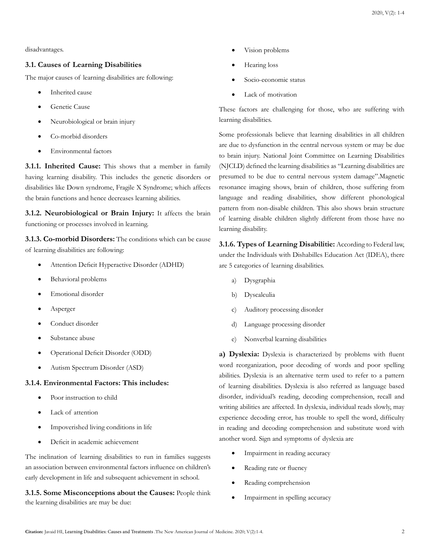#### disadvantages.

### **3.1. Causes of Learning Disabilities**

The major causes of learning disabilities are following:

- Inherited cause
- Genetic Cause
- Neurobiological or brain injury
- Co-morbid disorders
- Environmental factors

**3.1.1. Inherited Cause:** This shows that a member in family having learning disability. This includes the genetic disorders or disabilities like Down syndrome, Fragile X Syndrome; which affects the brain functions and hence decreases learning abilities.

**3.1.2. Neurobiological or Brain Injury:** It affects the brain functioning or processes involved in learning.

**3.1.3. Co-morbid Disorders:** The conditions which can be cause of learning disabilities are following:

- Attention Deficit Hyperactive Disorder (ADHD)
- Behavioral problems
- Emotional disorder
- **Asperger**
- Conduct disorder
- Substance abuse
- Operational Deficit Disorder (ODD)
- Autism Spectrum Disorder (ASD)

#### **3.1.4. Environmental Factors: This includes:**

- Poor instruction to child
- Lack of attention
- Impoverished living conditions in life
- Deficit in academic achievement

The inclination of learning disabilities to run in families suggests an association between environmental factors influence on children's early development in life and subsequent achievement in school.

**3.1.5. Some Misconceptions about the Causes:** People think the learning disabilities are may be due:

- Vision problems
- Hearing loss
- Socio-economic status
- Lack of motivation

These factors are challenging for those, who are suffering with learning disabilities.

Some professionals believe that learning disabilities in all children are due to dysfunction in the central nervous system or may be due to brain injury. National Joint Committee on Learning Disabilities (NJCLD) defined the learning disabilities as "Learning disabilities are presumed to be due to central nervous system damage".Magnetic resonance imaging shows, brain of children, those suffering from language and reading disabilities, show different phonological pattern from non-disable children. This also shows brain structure of learning disable children slightly different from those have no learning disability.

**3.1.6. Types of Learning Disabilitie:** According to Federal law, under the Individuals with Dishabilles Education Act (IDEA), there are 5 categories of learning disabilities.

- a) Dysgraphia
- b) Dyscalculia
- c) Auditory processing disorder
- d) Language processing disorder
- e) Nonverbal learning disabilities

**a) Dyslexia:** Dyslexia is characterized by problems with fluent word reorganization, poor decoding of words and poor spelling abilities. Dyslexia is an alternative term used to refer to a pattern of learning disabilities. Dyslexia is also referred as language based disorder, individual's reading, decoding comprehension, recall and writing abilities are affected. In dyslexia, individual reads slowly, may experience decoding error, has trouble to spell the word, difficulty in reading and decoding comprehension and substitute word with another word. Sign and symptoms of dyslexia are

- Impairment in reading accuracy
- Reading rate or fluency
- Reading comprehension
- Impairment in spelling accuracy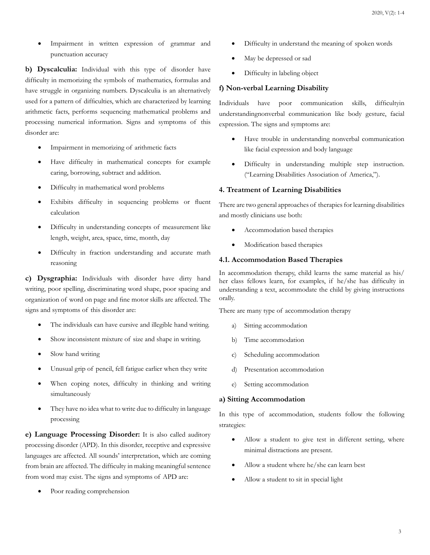Impairment in written expression of grammar and punctuation accuracy

**b) Dyscalculia:** Individual with this type of disorder have difficulty in memorizing the symbols of mathematics, formulas and have struggle in organizing numbers. Dyscalculia is an alternatively used for a pattern of difficulties, which are characterized by learning arithmetic facts, performs sequencing mathematical problems and processing numerical information. Signs and symptoms of this disorder are:

- Impairment in memorizing of arithmetic facts
- Have difficulty in mathematical concepts for example caring, borrowing, subtract and addition.
- Difficulty in mathematical word problems
- Exhibits difficulty in sequencing problems or fluent calculation
- Difficulty in understanding concepts of measurement like length, weight, area, space, time, month, day
- Difficulty in fraction understanding and accurate math reasoning

**c) Dysgraphia:** Individuals with disorder have dirty hand writing, poor spelling, discriminating word shape, poor spacing and organization of word on page and fine motor skills are affected. The signs and symptoms of this disorder are:

- The individuals can have cursive and illegible hand writing.
- Show inconsistent mixture of size and shape in writing.
- Slow hand writing
- Unusual grip of pencil, fell fatigue earlier when they write
- When coping notes, difficulty in thinking and writing simultaneously
- They have no idea what to write due to difficulty in language processing

**e) Language Processing Disorder:** It is also called auditory processing disorder (APD). In this disorder, receptive and expressive languages are affected. All sounds' interpretation, which are coming from brain are affected. The difficulty in making meaningful sentence from word may exist. The signs and symptoms of APD are:

Poor reading comprehension

- Difficulty in understand the meaning of spoken words
- May be depressed or sad
- Difficulty in labeling object

# **f) Non-verbal Learning Disability**

Individuals have poor communication skills, difficultyin understandingnonverbal communication like body gesture, facial expression. The signs and symptoms are:

- Have trouble in understanding nonverbal communication like facial expression and body language
- • Difficulty in understanding multiple step instruction. ("Learning Disabilities Association of America,").

#### **4. Treatment of Learning Disabilities**

There are two general approaches of therapies for learning disabilities and mostly clinicians use both:

- Accommodation based therapies
- • Modification based therapies

#### **4.1. Accommodation Based Therapies**

In accommodation therapy, child learns the same material as his/ her class fellows learn, for examples, if he/she has difficulty in understanding a text, accommodate the child by giving instructions orally.

There are many type of accommodation therapy

- a) Sitting accommodation
- b) Time accommodation
- c) Scheduling accommodation
- d) Presentation accommodation
- e) Setting accommodation

#### **a) Sitting Accommodation**

In this type of accommodation, students follow the following strategies:

- Allow a student to give test in different setting, where minimal distractions are present.
- Allow a student where he/she can learn best
- Allow a student to sit in special light